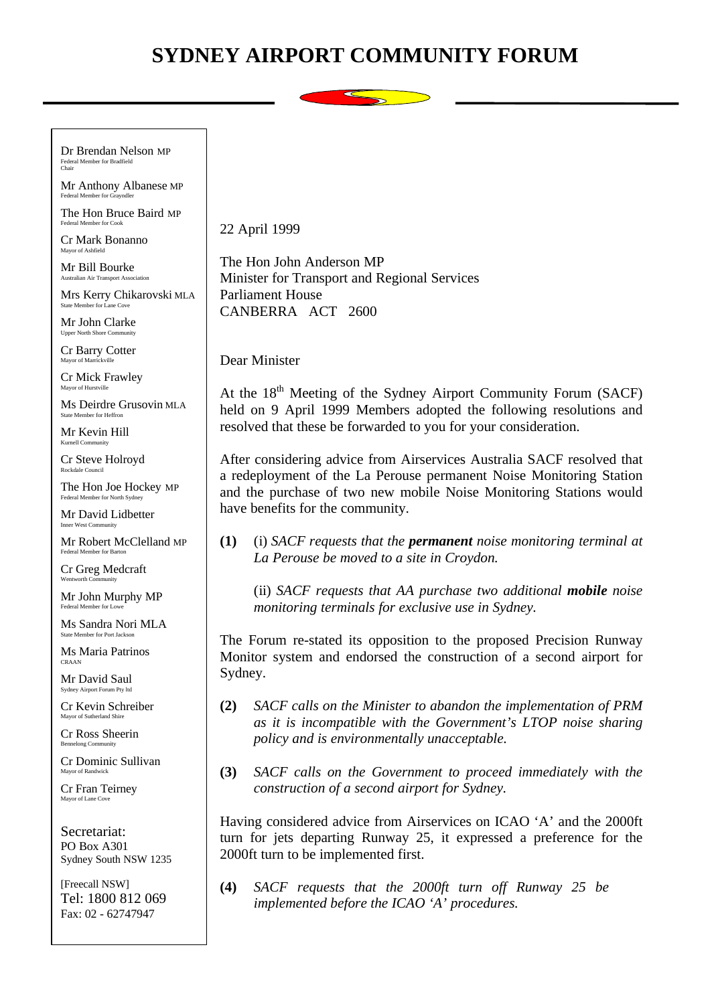## **SYDNEY AIRPORT COMMUNITY FORUM**

Dr Brendan Nelson MP Federal Member for Bradfield Chair

Mr Anthony Albanese MP Federal Member for Grayndler

The Hon Bruce Baird MP Federal Member for Cook

Cr Mark Bonanno Mayor of Ashfield

Mr Bill Bourke Australian Air Transport Association

Mrs Kerry Chikarovski MLA State Member for Lane Cove

Mr John Clarke Upper North Shore Comn

Cr Barry Cotter Mayor of Mar

Cr Mick Frawley Mayor of Hurstville

Ms Deirdre Grusovin MLA State Member for Heffron

Mr Kevin Hill Kurnell Community

Cr Steve Holroyd Rockdale Council

The Hon Joe Hockey MP Federal Member for North Sydney

Mr David Lidbetter Inner West Community

Mr Robert McClelland MP Federal Member for Barton

Cr Greg Medcraft Wentworth Community

Mr John Murphy MP Federal Member for Lowe

Ms Sandra Nori MLA State Member for Port Jackson

Ms Maria Patrinos CRAAN

Mr David Saul Sydney Airport Forum Pty ltd

Cr Kevin Schreiber Mayor of Sutherland Shire

Cr Ross Sheerin Bennelong Community

Cr Dominic Sullivan Mayor of Randwick

Cr Fran Teirney Mayor of Lane Cove

Secretariat: PO Box A301 Sydney South NSW 1235

[Freecall NSW] Tel: 1800 812 069 Fax: 02 - 62747947

22 April 1999

The Hon John Anderson MP Minister for Transport and Regional Services Parliament House CANBERRA ACT 2600

## Dear Minister

At the  $18<sup>th</sup>$  Meeting of the Sydney Airport Community Forum (SACF) held on 9 April 1999 Members adopted the following resolutions and resolved that these be forwarded to you for your consideration.

After considering advice from Airservices Australia SACF resolved that a redeployment of the La Perouse permanent Noise Monitoring Station and the purchase of two new mobile Noise Monitoring Stations would have benefits for the community.

**(1)** (i) *SACF requests that the permanent noise monitoring terminal at La Perouse be moved to a site in Croydon.*

(ii) *SACF requests that AA purchase two additional mobile noise monitoring terminals for exclusive use in Sydney.*

The Forum re-stated its opposition to the proposed Precision Runway Monitor system and endorsed the construction of a second airport for Sydney.

- **(2)** *SACF calls on the Minister to abandon the implementation of PRM as it is incompatible with the Government's LTOP noise sharing policy and is environmentally unacceptable.*
- **(3)** *SACF calls on the Government to proceed immediately with the construction of a second airport for Sydney.*

Having considered advice from Airservices on ICAO 'A' and the 2000ft turn for jets departing Runway 25, it expressed a preference for the 2000ft turn to be implemented first.

**(4)** *SACF requests that the 2000ft turn off Runway 25 be implemented before the ICAO 'A' procedures.*